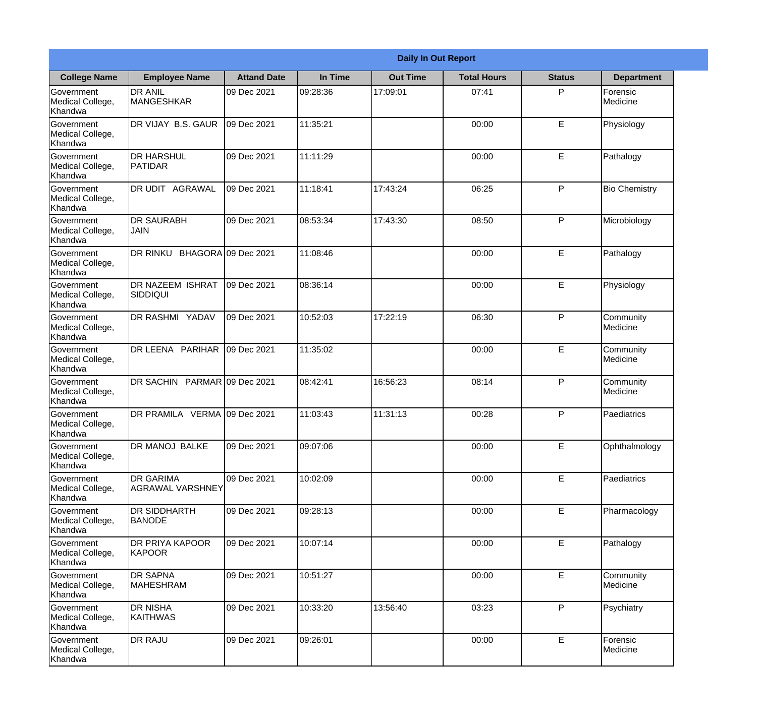|                                                  |                                         | <b>Daily In Out Report</b> |          |                 |                    |               |                       |  |
|--------------------------------------------------|-----------------------------------------|----------------------------|----------|-----------------|--------------------|---------------|-----------------------|--|
| <b>College Name</b>                              | <b>Employee Name</b>                    | <b>Attand Date</b>         | In Time  | <b>Out Time</b> | <b>Total Hours</b> | <b>Status</b> | <b>Department</b>     |  |
| Government<br>Medical College,<br>Khandwa        | <b>DR ANIL</b><br><b>MANGESHKAR</b>     | 09 Dec 2021                | 09:28:36 | 17:09:01        | 07:41              | P             | Forensic<br>Medicine  |  |
| Government<br>Medical College,<br>Khandwa        | DR VIJAY B.S. GAUR                      | 09 Dec 2021                | 11:35:21 |                 | 00:00              | E             | Physiology            |  |
| <b>Government</b><br>Medical College,<br>Khandwa | <b>DR HARSHUL</b><br><b>PATIDAR</b>     | 09 Dec 2021                | 11:11:29 |                 | 00:00              | E             | Pathalogy             |  |
| <b>Government</b><br>Medical College,<br>Khandwa | <b>DR UDIT AGRAWAL</b>                  | 09 Dec 2021                | 11:18:41 | 17:43:24        | 06:25              | P             | <b>Bio Chemistry</b>  |  |
| Government<br>Medical College,<br>Khandwa        | <b>DR SAURABH</b><br><b>JAIN</b>        | 09 Dec 2021                | 08:53:34 | 17:43:30        | 08:50              | P             | Microbiology          |  |
| Government<br>Medical College,<br>Khandwa        | DR RINKU BHAGORA 09 Dec 2021            |                            | 11:08:46 |                 | 00:00              | E             | Pathalogy             |  |
| <b>Government</b><br>Medical College,<br>Khandwa | <b>IDR NAZEEM ISHRAT</b><br> SIDDIQUI   | 09 Dec 2021                | 08:36:14 |                 | 00:00              | E             | Physiology            |  |
| <b>Government</b><br>Medical College,<br>Khandwa | <b>DR RASHMI YADAV</b>                  | 09 Dec 2021                | 10:52:03 | 17:22:19        | 06:30              | P             | Community<br>Medicine |  |
| Government<br>Medical College,<br>Khandwa        | DR LEENA PARIHAR                        | 09 Dec 2021                | 11:35:02 |                 | 00:00              | E             | Community<br>Medicine |  |
| Government<br>Medical College,<br>Khandwa        | DR SACHIN PARMAR 09 Dec 2021            |                            | 08:42:41 | 16:56:23        | 08:14              | P             | Community<br>Medicine |  |
| Government<br>Medical College,<br>Khandwa        | DR PRAMILA VERMA 09 Dec 2021            |                            | 11:03:43 | 11:31:13        | 00:28              | P             | Paediatrics           |  |
| Government<br>Medical College,<br>Khandwa        | DR MANOJ BALKE                          | 09 Dec 2021                | 09:07:06 |                 | 00:00              | E             | Ophthalmology         |  |
| Government<br>Medical College,<br>Khandwa        | <b>DR GARIMA</b><br>AGRAWAL VARSHNEY    | 09 Dec 2021                | 10:02:09 |                 | 00:00              | E             | Paediatrics           |  |
| Government<br>Medical College,<br>Khandwa        | <b>IDR SIDDHARTH</b><br><b>BANODE</b>   | 09 Dec 2021                | 09:28:13 |                 | 00:00              | $\mathsf E$   | Pharmacology          |  |
| <b>Government</b><br>Medical College,<br>Khandwa | <b>DR PRIYA KAPOOR</b><br><b>KAPOOR</b> | 09 Dec 2021                | 10:07:14 |                 | 00:00              | E             | Pathalogy             |  |
| Government<br>Medical College,<br>Khandwa        | <b>DR SAPNA</b><br><b>MAHESHRAM</b>     | 09 Dec 2021                | 10:51:27 |                 | 00:00              | E             | Community<br>Medicine |  |
| Government<br>Medical College,<br>Khandwa        | <b>DR NISHA</b><br><b>KAITHWAS</b>      | 09 Dec 2021                | 10:33:20 | 13:56:40        | 03:23              | P             | Psychiatry            |  |
| Government<br>Medical College,<br>Khandwa        | <b>DR RAJU</b>                          | 09 Dec 2021                | 09:26:01 |                 | 00:00              | $\mathsf E$   | Forensic<br>Medicine  |  |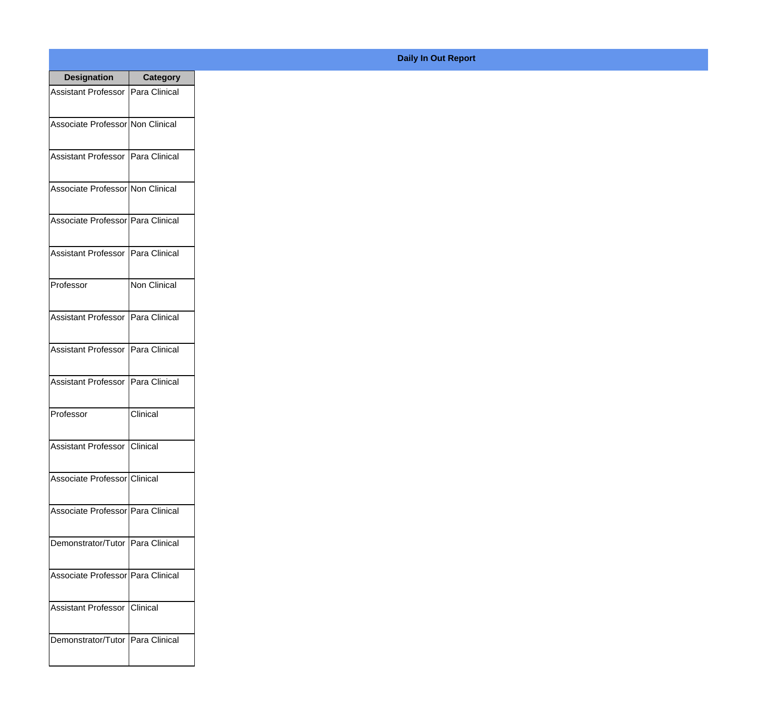| <b>Designation</b>                  | <b>Category</b>     |
|-------------------------------------|---------------------|
| Assistant Professor   Para Clinical |                     |
| Associate Professor Non Clinical    |                     |
| Assistant Professor   Para Clinical |                     |
| Associate Professor Non Clinical    |                     |
| Associate Professor Para Clinical   |                     |
| Assistant Professor   Para Clinical |                     |
| Professor                           | <b>Non Clinical</b> |
| Assistant Professor   Para Clinical |                     |
| Assistant Professor   Para Clinical |                     |
| <b>Assistant Professor</b>          | Para Clinical       |
| Professor                           | Clinical            |
| Assistant Professor Clinical        |                     |
| Associate Professor Clinical        |                     |
| Associate Professor Para Clinical   |                     |
| Demonstrator/Tutor   Para Clinical  |                     |
| Associate Professor Para Clinical   |                     |
| <b>Assistant Professor</b>          | Clinical            |
| Demonstrator/Tutor   Para Clinical  |                     |

## **Daily In Out Report**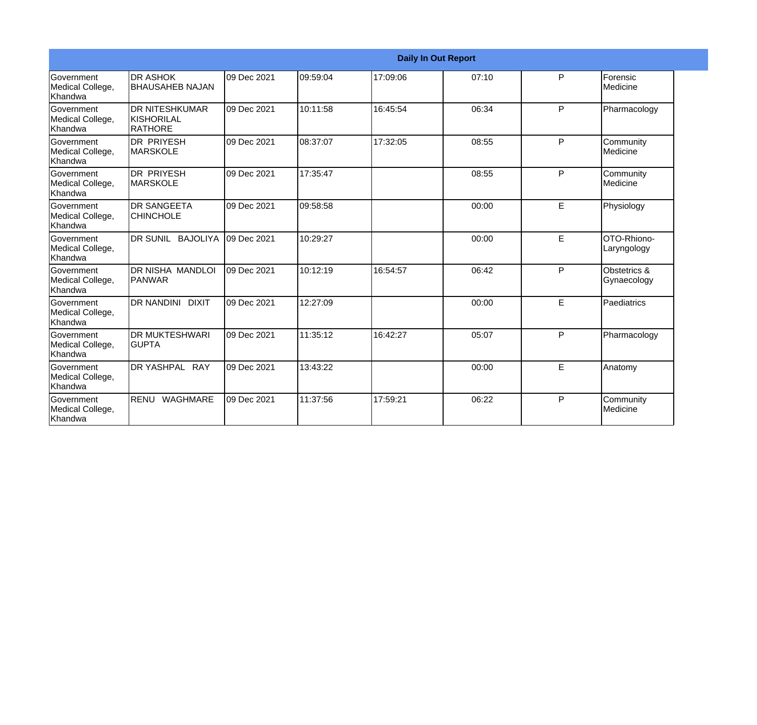|                                                         |                                                |             |           |          | <b>Daily In Out Report</b> |    |                             |
|---------------------------------------------------------|------------------------------------------------|-------------|-----------|----------|----------------------------|----|-----------------------------|
| Government<br>Medical College,<br>Khandwa               | <b>DR ASHOK</b><br><b>BHAUSAHEB NAJAN</b>      | 09 Dec 2021 | 09:59:04  | 17:09:06 | 07:10                      | P  | Forensic<br>Medicine        |
| <b>Government</b><br>Medical College,<br><b>Khandwa</b> | <b>DR NITESHKUMAR</b><br>KISHORILAL<br>RATHORE | 09 Dec 2021 | 10:11:58  | 16:45:54 | 06:34                      | P  | Pharmacology                |
| <b>Government</b><br>Medical College,<br>Khandwa        | <b>DR PRIYESH</b><br><b>MARSKOLE</b>           | 09 Dec 2021 | 108:37:07 | 17:32:05 | 08:55                      | P  | Community<br>Medicine       |
| Government<br>Medical College,<br>Khandwa               | <b>DR PRIYESH</b><br>MARSKOLE                  | 09 Dec 2021 | 17:35:47  |          | 08:55                      | P  | Community<br>Medicine       |
| <b>Government</b><br>Medical College,<br>Khandwa        | <b>DR SANGEETA</b><br><b>CHINCHOLE</b>         | 09 Dec 2021 | 09:58:58  |          | 00:00                      | E. | Physiology                  |
| <b>Government</b><br>Medical College,<br>Khandwa        | DR SUNIL BAJOLIYA                              | 09 Dec 2021 | 10:29:27  |          | 00:00                      | E  | OTO-Rhiono-<br>Laryngology  |
| Government<br>Medical College,<br>Khandwa               | DR NISHA MANDLOI<br>PANWAR                     | 09 Dec 2021 | 10:12:19  | 16:54:57 | 06:42                      | P  | Obstetrics &<br>Gynaecology |
| <b>Government</b><br>Medical College,<br><b>Khandwa</b> | DR NANDINI DIXIT                               | 09 Dec 2021 | 12:27:09  |          | 00:00                      | E. | Paediatrics                 |
| Government<br>Medical College,<br>Khandwa               | <b>DR MUKTESHWARI</b><br><b>GUPTA</b>          | 09 Dec 2021 | 11:35:12  | 16:42:27 | 05:07                      | P  | Pharmacology                |
| <b>Government</b><br>Medical College,<br>Khandwa        | <b>DR YASHPAL RAY</b>                          | 09 Dec 2021 | 13:43:22  |          | 00:00                      | E  | Anatomy                     |
| <b>Government</b><br>Medical College,<br>Khandwa        | RENU WAGHMARE                                  | 09 Dec 2021 | 11:37:56  | 17:59:21 | 06:22                      | P  | Community<br>Medicine       |